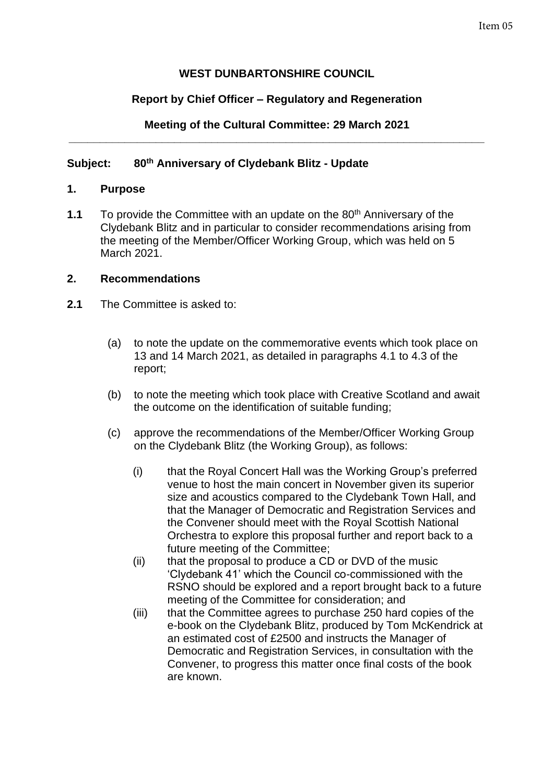# **WEST DUNBARTONSHIRE COUNCIL**

# **Report by Chief Officer – Regulatory and Regeneration**

#### **Meeting of the Cultural Committee: 29 March 2021 \_\_\_\_\_\_\_\_\_\_\_\_\_\_\_\_\_\_\_\_\_\_\_\_\_\_\_\_\_\_\_\_\_\_\_\_\_\_\_\_\_\_\_\_\_\_\_\_\_\_\_\_\_\_\_\_\_\_\_\_\_\_\_\_\_\_\_**

## **Subject: 80th Anniversary of Clydebank Blitz - Update**

#### **1. Purpose**

**1.1** To provide the Committee with an update on the 80<sup>th</sup> Anniversary of the Clydebank Blitz and in particular to consider recommendations arising from the meeting of the Member/Officer Working Group, which was held on 5 March 2021.

#### **2. Recommendations**

- **2.1** The Committee is asked to:
	- (a) to note the update on the commemorative events which took place on 13 and 14 March 2021, as detailed in paragraphs 4.1 to 4.3 of the report;
	- (b) to note the meeting which took place with Creative Scotland and await the outcome on the identification of suitable funding;
	- (c) approve the recommendations of the Member/Officer Working Group on the Clydebank Blitz (the Working Group), as follows:
		- (i) that the Royal Concert Hall was the Working Group's preferred venue to host the main concert in November given its superior size and acoustics compared to the Clydebank Town Hall, and that the Manager of Democratic and Registration Services and the Convener should meet with the Royal Scottish National Orchestra to explore this proposal further and report back to a future meeting of the Committee;
		- (ii) that the proposal to produce a CD or DVD of the music 'Clydebank 41' which the Council co-commissioned with the RSNO should be explored and a report brought back to a future meeting of the Committee for consideration; and
		- (iii) that the Committee agrees to purchase 250 hard copies of the e-book on the Clydebank Blitz, produced by Tom McKendrick at an estimated cost of £2500 and instructs the Manager of Democratic and Registration Services, in consultation with the Convener, to progress this matter once final costs of the book are known.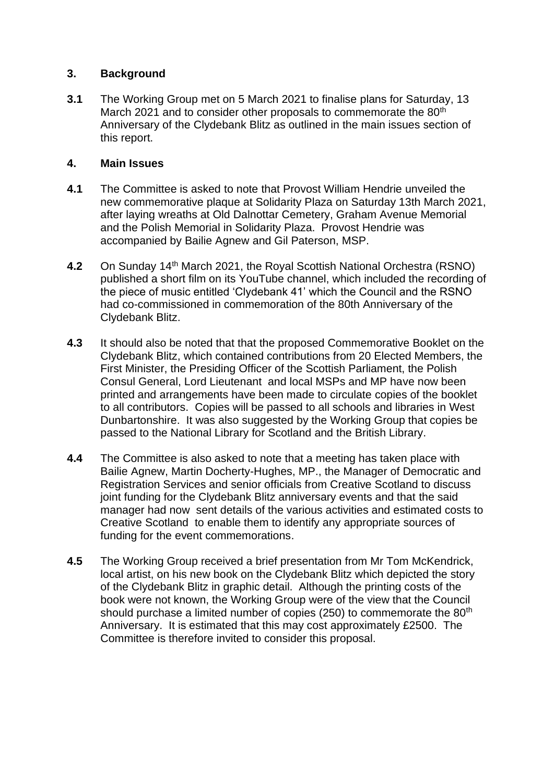## **3. Background**

**3.1** The Working Group met on 5 March 2021 to finalise plans for Saturday, 13 March 2021 and to consider other proposals to commemorate the 80<sup>th</sup> Anniversary of the Clydebank Blitz as outlined in the main issues section of this report.

## **4. Main Issues**

- **4.1** The Committee is asked to note that Provost William Hendrie unveiled the new commemorative plaque at Solidarity Plaza on Saturday 13th March 2021, after laying wreaths at Old Dalnottar Cemetery, Graham Avenue Memorial and the Polish Memorial in Solidarity Plaza. Provost Hendrie was accompanied by Bailie Agnew and Gil Paterson, MSP.
- **4.2** On Sunday 14th March 2021, the Royal Scottish National Orchestra (RSNO) published a short film on its YouTube channel, which included the recording of the piece of music entitled 'Clydebank 41' which the Council and the RSNO had co-commissioned in commemoration of the 80th Anniversary of the Clydebank Blitz.
- **4.3** It should also be noted that that the proposed Commemorative Booklet on the Clydebank Blitz, which contained contributions from 20 Elected Members, the First Minister, the Presiding Officer of the Scottish Parliament, the Polish Consul General, Lord Lieutenant and local MSPs and MP have now been printed and arrangements have been made to circulate copies of the booklet to all contributors. Copies will be passed to all schools and libraries in West Dunbartonshire. It was also suggested by the Working Group that copies be passed to the National Library for Scotland and the British Library.
- **4.4** The Committee is also asked to note that a meeting has taken place with Bailie Agnew, Martin Docherty-Hughes, MP., the Manager of Democratic and Registration Services and senior officials from Creative Scotland to discuss joint funding for the Clydebank Blitz anniversary events and that the said manager had now sent details of the various activities and estimated costs to Creative Scotland to enable them to identify any appropriate sources of funding for the event commemorations.
- **4.5** The Working Group received a brief presentation from Mr Tom McKendrick, local artist, on his new book on the Clydebank Blitz which depicted the story of the Clydebank Blitz in graphic detail. Although the printing costs of the book were not known, the Working Group were of the view that the Council should purchase a limited number of copies (250) to commemorate the 80<sup>th</sup> Anniversary. It is estimated that this may cost approximately £2500. The Committee is therefore invited to consider this proposal.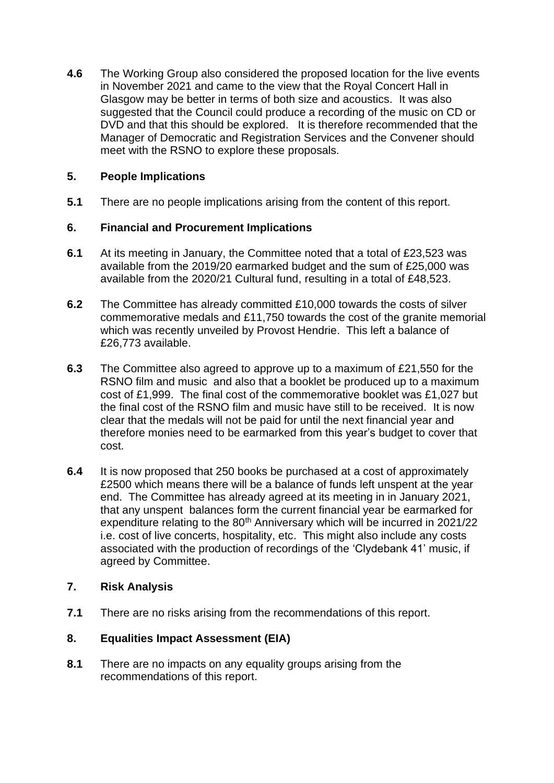**4.6** The Working Group also considered the proposed location for the live events in November 2021 and came to the view that the Royal Concert Hall in Glasgow may be better in terms of both size and acoustics. It was also suggested that the Council could produce a recording of the music on CD or DVD and that this should be explored. It is therefore recommended that the Manager of Democratic and Registration Services and the Convener should meet with the RSNO to explore these proposals.

## **5. People Implications**

**5.1** There are no people implications arising from the content of this report.

## **6. Financial and Procurement Implications**

- **6.1** At its meeting in January, the Committee noted that a total of £23,523 was available from the 2019/20 earmarked budget and the sum of £25,000 was available from the 2020/21 Cultural fund, resulting in a total of £48,523.
- **6.2** The Committee has already committed £10,000 towards the costs of silver commemorative medals and £11,750 towards the cost of the granite memorial which was recently unveiled by Provost Hendrie. This left a balance of £26,773 available.
- **6.3** The Committee also agreed to approve up to a maximum of £21,550 for the RSNO film and music and also that a booklet be produced up to a maximum cost of £1,999. The final cost of the commemorative booklet was £1,027 but the final cost of the RSNO film and music have still to be received. It is now clear that the medals will not be paid for until the next financial year and therefore monies need to be earmarked from this year's budget to cover that cost.
- **6.4** It is now proposed that 250 books be purchased at a cost of approximately £2500 which means there will be a balance of funds left unspent at the year end. The Committee has already agreed at its meeting in in January 2021, that any unspent balances form the current financial year be earmarked for expenditure relating to the 80<sup>th</sup> Anniversary which will be incurred in 2021/22 i.e. cost of live concerts, hospitality, etc. This might also include any costs associated with the production of recordings of the 'Clydebank 41' music, if agreed by Committee.

#### **7. Risk Analysis**

**7.1** There are no risks arising from the recommendations of this report.

# **8. Equalities Impact Assessment (EIA)**

**8.1** There are no impacts on any equality groups arising from the recommendations of this report.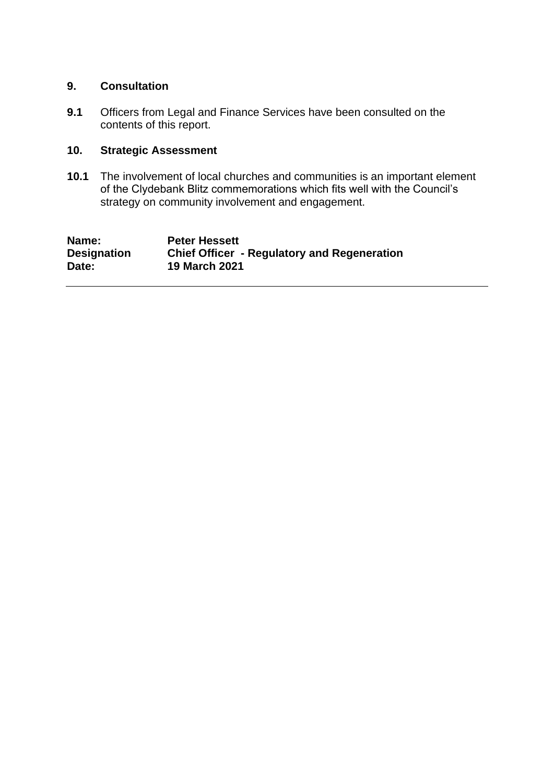#### **9. Consultation**

**9.1** Officers from Legal and Finance Services have been consulted on the contents of this report.

# **10. Strategic Assessment**

**10.1** The involvement of local churches and communities is an important element of the Clydebank Blitz commemorations which fits well with the Council's strategy on community involvement and engagement.

| Name:              | <b>Peter Hessett</b>                               |
|--------------------|----------------------------------------------------|
| <b>Designation</b> | <b>Chief Officer - Regulatory and Regeneration</b> |
| Date:              | <b>19 March 2021</b>                               |